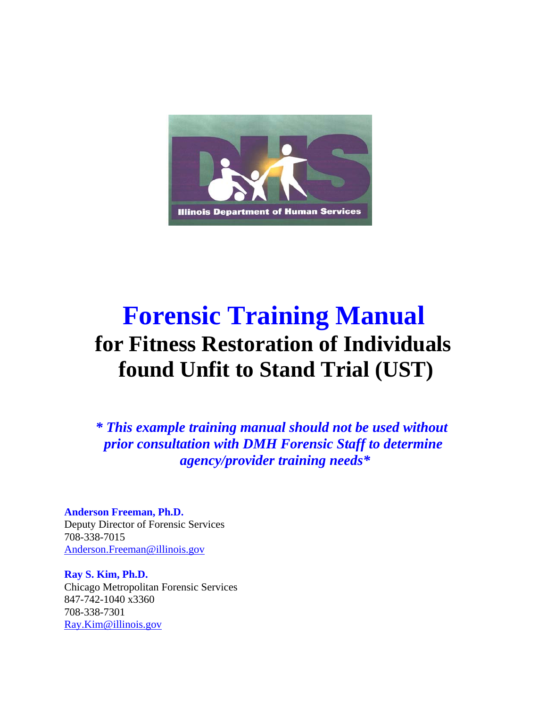

# **Forensic Training Manual for Fitness Restoration of Individuals found Unfit to Stand Trial (UST)**

*\* This example training manual should not be used without prior consultation with DMH Forensic Staff to determine agency/provider training needs\**

**Anderson Freeman, Ph.D.** Deputy Director of Forensic Services 708-338-7015 Anderson.Freeman@illinois.gov

**Ray S. Kim, Ph.D.** Chicago Metropolitan Forensic Services 847-742-1040 x3360 708-338-7301 Ray.Kim@illinois.gov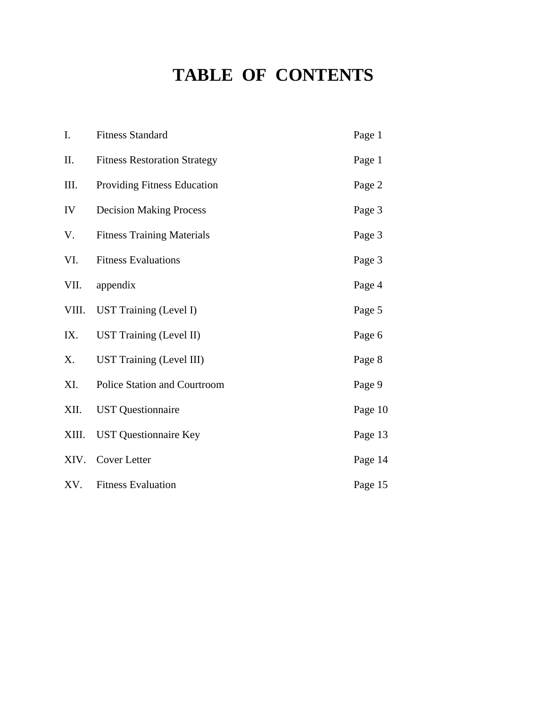# **TABLE OF CONTENTS**

| I.    | <b>Fitness Standard</b>             | Page 1  |
|-------|-------------------------------------|---------|
| Π.    | <b>Fitness Restoration Strategy</b> | Page 1  |
| III.  | Providing Fitness Education         | Page 2  |
| IV    | <b>Decision Making Process</b>      | Page 3  |
| V.    | <b>Fitness Training Materials</b>   | Page 3  |
| VI.   | <b>Fitness Evaluations</b>          | Page 3  |
| VII.  | appendix                            | Page 4  |
| VIII. | <b>UST Training (Level I)</b>       | Page 5  |
| IX.   | <b>UST Training (Level II)</b>      | Page 6  |
| X.    | UST Training (Level III)            | Page 8  |
| XI.   | <b>Police Station and Courtroom</b> | Page 9  |
| XII.  | <b>UST</b> Questionnaire            | Page 10 |
| XIII. | <b>UST</b> Questionnaire Key        | Page 13 |
| XIV.  | <b>Cover Letter</b>                 | Page 14 |
| XV.   | <b>Fitness Evaluation</b>           | Page 15 |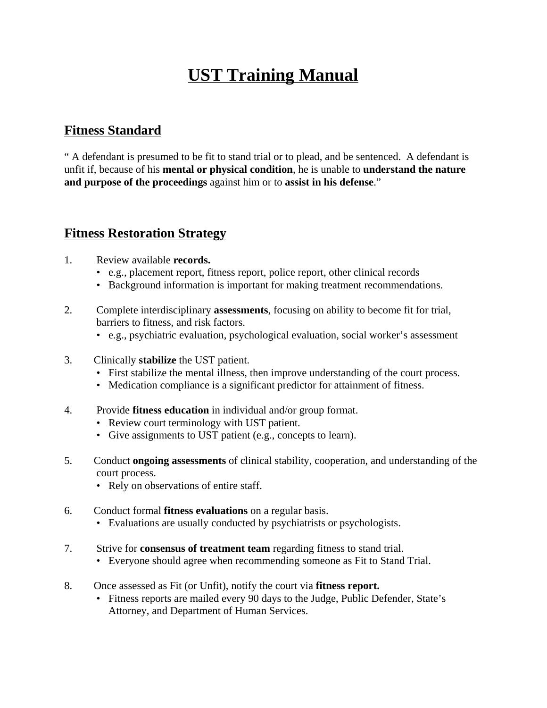# **UST Training Manual**

### **Fitness Standard**

" A defendant is presumed to be fit to stand trial or to plead, and be sentenced. A defendant is unfit if, because of his **mental or physical condition**, he is unable to **understand the nature and purpose of the proceedings** against him or to **assist in his defense**."

### **Fitness Restoration Strategy**

- 1. Review available **records.**
	- e.g., placement report, fitness report, police report, other clinical records
	- Background information is important for making treatment recommendations.
- 2. Complete interdisciplinary **assessments**, focusing on ability to become fit for trial, barriers to fitness, and risk factors.
	- e.g., psychiatric evaluation, psychological evaluation, social worker's assessment
- 3. Clinically **stabilize** the UST patient.
	- First stabilize the mental illness, then improve understanding of the court process.
	- Medication compliance is a significant predictor for attainment of fitness.
- 4. Provide **fitness education** in individual and/or group format.
	- Review court terminology with UST patient.
	- Give assignments to UST patient (e.g., concepts to learn).
- 5. Conduct **ongoing assessments** of clinical stability, cooperation, and understanding of the court process.
	- Rely on observations of entire staff.
- 6. Conduct formal **fitness evaluations** on a regular basis.
	- Evaluations are usually conducted by psychiatrists or psychologists.
- 7. Strive for **consensus of treatment team** regarding fitness to stand trial.
	- Everyone should agree when recommending someone as Fit to Stand Trial.
- 8. Once assessed as Fit (or Unfit), notify the court via **fitness report.**
	- Fitness reports are mailed every 90 days to the Judge, Public Defender, State's Attorney, and Department of Human Services.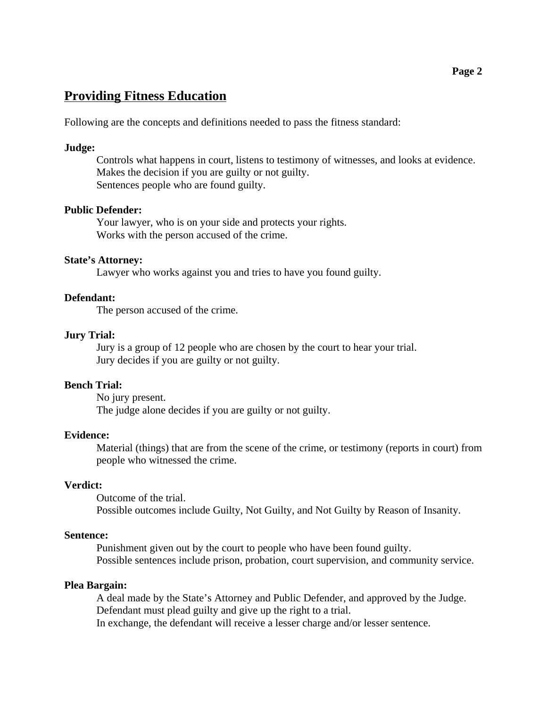### **Providing Fitness Education**

Following are the concepts and definitions needed to pass the fitness standard:

#### **Judge:**

Controls what happens in court, listens to testimony of witnesses, and looks at evidence. Makes the decision if you are guilty or not guilty. Sentences people who are found guilty.

#### **Public Defender:**

Your lawyer, who is on your side and protects your rights. Works with the person accused of the crime.

### **State's Attorney:**

Lawyer who works against you and tries to have you found guilty.

#### **Defendant:**

The person accused of the crime.

#### **Jury Trial:**

Jury is a group of 12 people who are chosen by the court to hear your trial. Jury decides if you are guilty or not guilty.

### **Bench Trial:**

No jury present. The judge alone decides if you are guilty or not guilty.

#### **Evidence:**

Material (things) that are from the scene of the crime, or testimony (reports in court) from people who witnessed the crime.

#### **Verdict:**

Outcome of the trial. Possible outcomes include Guilty, Not Guilty, and Not Guilty by Reason of Insanity.

### **Sentence:**

Punishment given out by the court to people who have been found guilty. Possible sentences include prison, probation, court supervision, and community service.

### **Plea Bargain:**

A deal made by the State's Attorney and Public Defender, and approved by the Judge. Defendant must plead guilty and give up the right to a trial. In exchange, the defendant will receive a lesser charge and/or lesser sentence.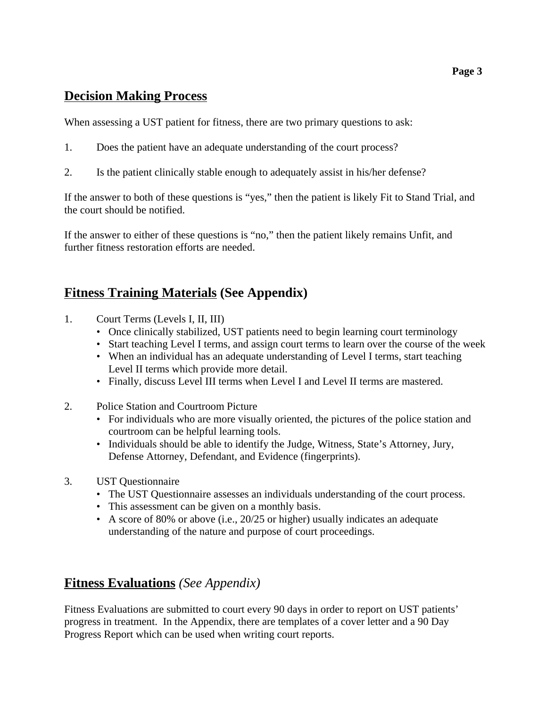### **Decision Making Process**

When assessing a UST patient for fitness, there are two primary questions to ask:

- 1. Does the patient have an adequate understanding of the court process?
- 2. Is the patient clinically stable enough to adequately assist in his/her defense?

If the answer to both of these questions is "yes," then the patient is likely Fit to Stand Trial, and the court should be notified.

If the answer to either of these questions is "no," then the patient likely remains Unfit, and further fitness restoration efforts are needed.

### **Fitness Training Materials (See Appendix)**

- 1. Court Terms (Levels I, II, III)
	- Once clinically stabilized, UST patients need to begin learning court terminology
	- Start teaching Level I terms, and assign court terms to learn over the course of the week
	- When an individual has an adequate understanding of Level I terms, start teaching Level II terms which provide more detail.
	- Finally, discuss Level III terms when Level I and Level II terms are mastered.
- 2. Police Station and Courtroom Picture
	- For individuals who are more visually oriented, the pictures of the police station and courtroom can be helpful learning tools.
	- Individuals should be able to identify the Judge, Witness, State's Attorney, Jury, Defense Attorney, Defendant, and Evidence (fingerprints).
- 3. UST Questionnaire
	- The UST Questionnaire assesses an individuals understanding of the court process.
	- This assessment can be given on a monthly basis.
	- A score of 80% or above (i.e., 20/25 or higher) usually indicates an adequate understanding of the nature and purpose of court proceedings.

### **Fitness Evaluations** *(See Appendix)*

Fitness Evaluations are submitted to court every 90 days in order to report on UST patients' progress in treatment. In the Appendix, there are templates of a cover letter and a 90 Day Progress Report which can be used when writing court reports.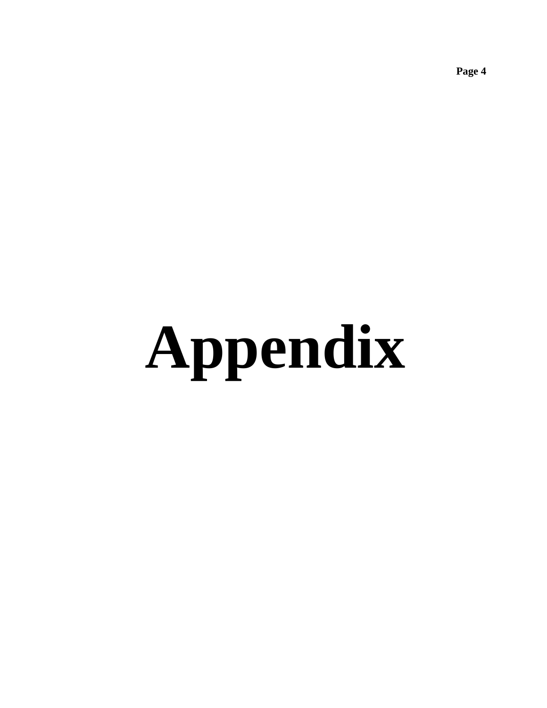**Appendix**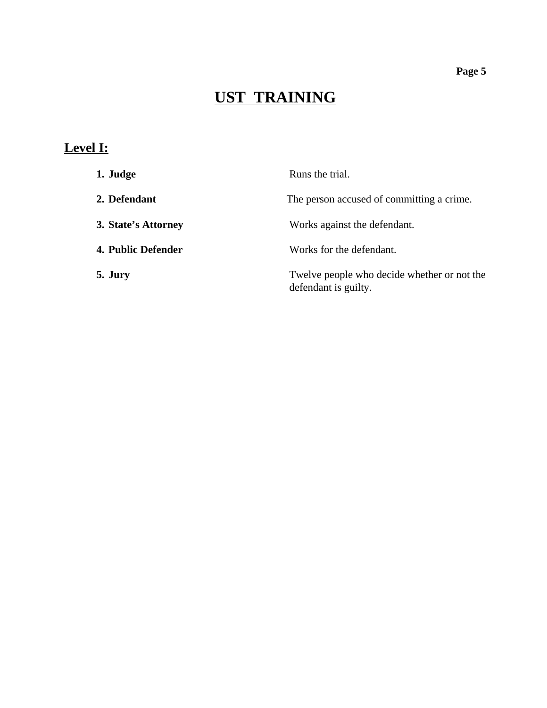# **UST TRAINING**

## **Level I:**

| 1. Judge            | Runs the trial.                                                     |
|---------------------|---------------------------------------------------------------------|
| 2. Defendant        | The person accused of committing a crime.                           |
| 3. State's Attorney | Works against the defendant.                                        |
| 4. Public Defender  | Works for the defendant.                                            |
| 5. Jury             | Twelve people who decide whether or not the<br>defendant is guilty. |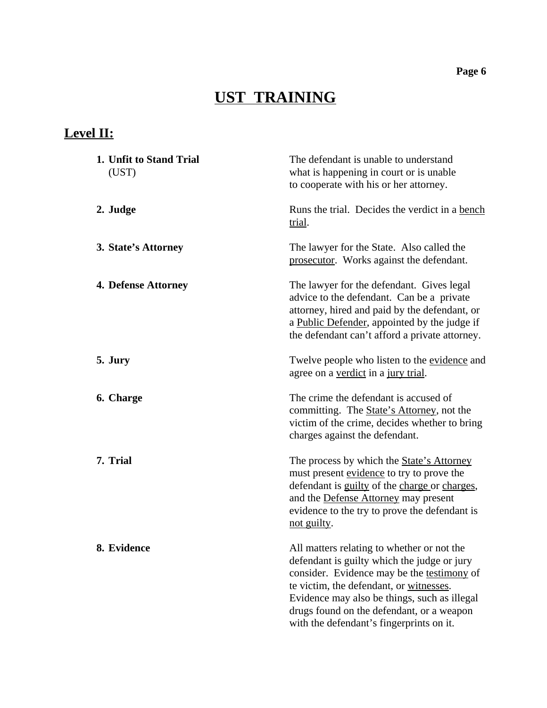# **UST TRAINING**

## **Level II:**

| 1. Unfit to Stand Trial<br>(UST) | The defendant is unable to understand<br>what is happening in court or is unable<br>to cooperate with his or her attorney.                                                                                                                                                                                                  |  |  |  |  |
|----------------------------------|-----------------------------------------------------------------------------------------------------------------------------------------------------------------------------------------------------------------------------------------------------------------------------------------------------------------------------|--|--|--|--|
| 2. Judge                         | Runs the trial. Decides the verdict in a bench<br>trial.                                                                                                                                                                                                                                                                    |  |  |  |  |
| 3. State's Attorney              | The lawyer for the State. Also called the<br>prosecutor. Works against the defendant.                                                                                                                                                                                                                                       |  |  |  |  |
| 4. Defense Attorney              | The lawyer for the defendant. Gives legal<br>advice to the defendant. Can be a private<br>attorney, hired and paid by the defendant, or<br>a Public Defender, appointed by the judge if<br>the defendant can't afford a private attorney.                                                                                   |  |  |  |  |
| 5. Jury                          | Twelve people who listen to the evidence and<br>agree on a verdict in a jury trial.                                                                                                                                                                                                                                         |  |  |  |  |
| 6. Charge                        | The crime the defendant is accused of<br>committing. The State's Attorney, not the<br>victim of the crime, decides whether to bring<br>charges against the defendant.                                                                                                                                                       |  |  |  |  |
| 7. Trial                         | The process by which the <b>State's Attorney</b><br>must present evidence to try to prove the<br>defendant is guilty of the charge or charges,<br>and the Defense Attorney may present<br>evidence to the try to prove the defendant is<br>not guilty.                                                                      |  |  |  |  |
| 8. Evidence                      | All matters relating to whether or not the<br>defendant is guilty which the judge or jury<br>consider. Evidence may be the testimony of<br>te victim, the defendant, or witnesses.<br>Evidence may also be things, such as illegal<br>drugs found on the defendant, or a weapon<br>with the defendant's fingerprints on it. |  |  |  |  |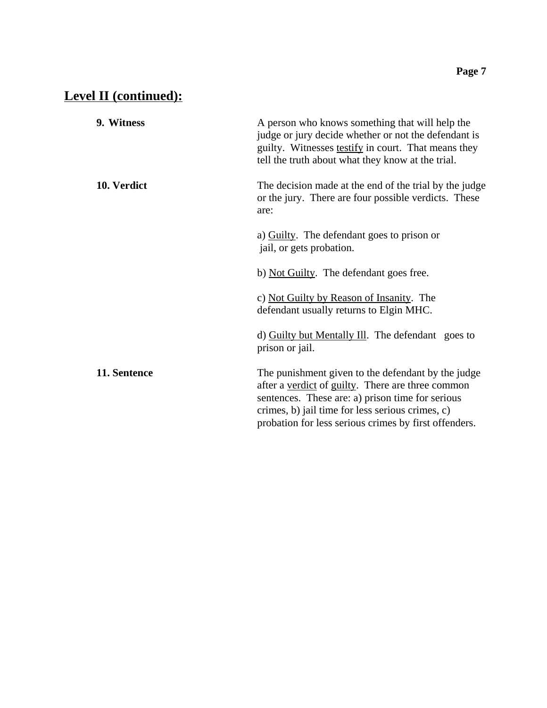## **Level II (continued):**

| 9. Witness   | A person who knows something that will help the<br>judge or jury decide whether or not the defendant is<br>guilty. Witnesses testify in court. That means they<br>tell the truth about what they know at the trial.                                                      |  |  |
|--------------|--------------------------------------------------------------------------------------------------------------------------------------------------------------------------------------------------------------------------------------------------------------------------|--|--|
| 10. Verdict  | The decision made at the end of the trial by the judge<br>or the jury. There are four possible verdicts. These<br>are:                                                                                                                                                   |  |  |
|              | a) Guilty. The defendant goes to prison or<br>jail, or gets probation.                                                                                                                                                                                                   |  |  |
|              | b) Not Guilty. The defendant goes free.                                                                                                                                                                                                                                  |  |  |
|              | c) Not Guilty by Reason of Insanity. The<br>defendant usually returns to Elgin MHC.                                                                                                                                                                                      |  |  |
|              | d) Guilty but Mentally Ill. The defendant goes to<br>prison or jail.                                                                                                                                                                                                     |  |  |
| 11. Sentence | The punishment given to the defendant by the judge<br>after a verdict of guilty. There are three common<br>sentences. These are: a) prison time for serious<br>crimes, b) jail time for less serious crimes, c)<br>probation for less serious crimes by first offenders. |  |  |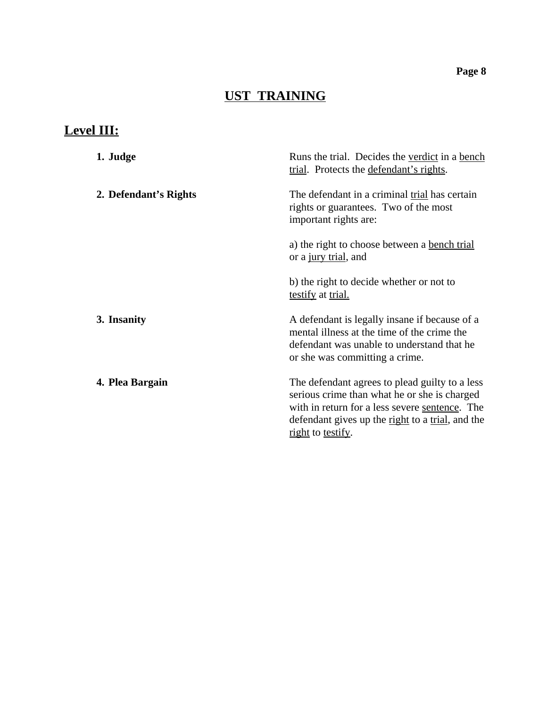# **UST TRAINING**

## **Level III:**

| 1. Judge              | Runs the trial. Decides the verdict in a bench<br>trial. Protects the defendant's rights.                                                                                                                                                |  |  |
|-----------------------|------------------------------------------------------------------------------------------------------------------------------------------------------------------------------------------------------------------------------------------|--|--|
| 2. Defendant's Rights | The defendant in a criminal trial has certain<br>rights or guarantees. Two of the most<br>important rights are:                                                                                                                          |  |  |
|                       | a) the right to choose between a <u>bench trial</u><br>or a jury trial, and                                                                                                                                                              |  |  |
|                       | b) the right to decide whether or not to<br>testify at trial.                                                                                                                                                                            |  |  |
| 3. Insanity           | A defendant is legally insane if because of a<br>mental illness at the time of the crime the<br>defendant was unable to understand that he<br>or she was committing a crime.                                                             |  |  |
| 4. Plea Bargain       | The defendant agrees to plead guilty to a less<br>serious crime than what he or she is charged<br>with in return for a less severe sentence. The<br>defendant gives up the <u>right</u> to a <u>trial</u> , and the<br>right to testify. |  |  |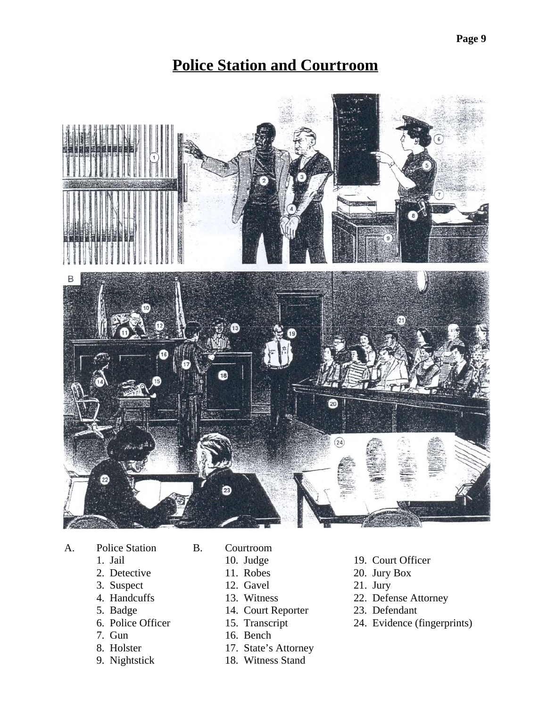## **Police Station and Courtroom**



- A. Police Station B. Courtroom
	-
	-
	- 3. Suspect 12. Gavel 21. Jury
	-
	-
	-
	-
	-
	-
- -
	-
	-
	-
- 5. Badge 14. Court Reporter 23. Defendant<br>
6. Police Officer 15. Transcript 24. Evidence (
	-
	- 16. Bench
- 8. Holster 17. State's Attorney
- 9. Nightstick 18. Witness Stand
- 1. Jail 10. Judge 19. Court Officer
- 2. Detective 11. Robes 20. Jury Box
	-
- 4. Handcuffs 13. Witness 22. Defense Attorney
	-
- 6. Police Officer 15. Transcript 24. Evidence (fingerprints)<br>
7. Gun 16. Bench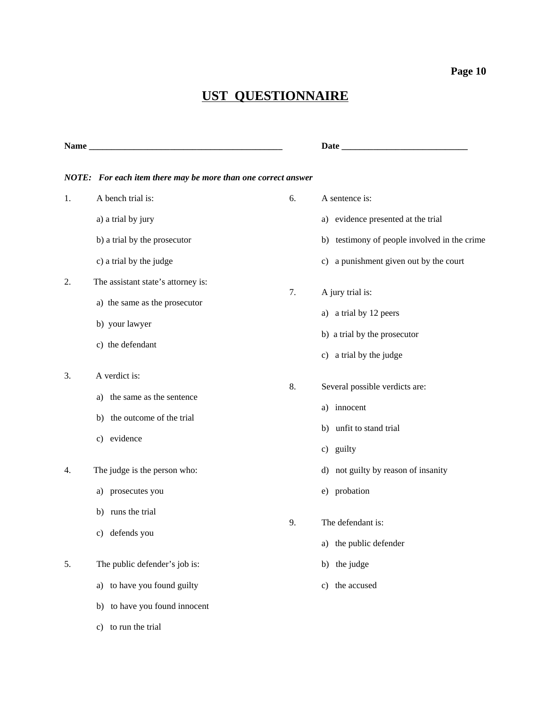# **UST QUESTIONNAIRE**

| Name |                                                               |    | Date                                         |
|------|---------------------------------------------------------------|----|----------------------------------------------|
|      | NOTE: For each item there may be more than one correct answer |    |                                              |
| 1.   | A bench trial is:                                             | 6. | A sentence is:                               |
|      | a) a trial by jury                                            |    | a) evidence presented at the trial           |
|      | b) a trial by the prosecutor                                  |    | b) testimony of people involved in the crime |
|      | c) a trial by the judge                                       |    | c) a punishment given out by the court       |
| 2.   | The assistant state's attorney is:                            | 7. |                                              |
|      | a) the same as the prosecutor                                 |    | A jury trial is:                             |
|      | b) your lawyer                                                |    | a) a trial by 12 peers                       |
|      | c) the defendant                                              |    | b) a trial by the prosecutor                 |
|      |                                                               |    | c) a trial by the judge                      |
| 3.   | A verdict is:                                                 | 8. |                                              |
|      | the same as the sentence<br>a)                                |    | Several possible verdicts are:               |
|      | the outcome of the trial<br>b)                                |    | a) innocent                                  |
|      | c) evidence                                                   |    | b) unfit to stand trial                      |
|      |                                                               |    | c) guilty                                    |
| 4.   | The judge is the person who:                                  |    | d) not guilty by reason of insanity          |
|      | prosecutes you<br>a)                                          |    | e) probation                                 |
|      | runs the trial<br>b)                                          |    |                                              |
|      | defends you<br>C)                                             | 9. | The defendant is:                            |
|      |                                                               |    | a) the public defender                       |
| 5.   | The public defender's job is:                                 |    | b) the judge                                 |
|      | a) to have you found guilty                                   |    | c) the accused                               |
|      | b) to have you found innocent                                 |    |                                              |
|      | c) to run the trial                                           |    |                                              |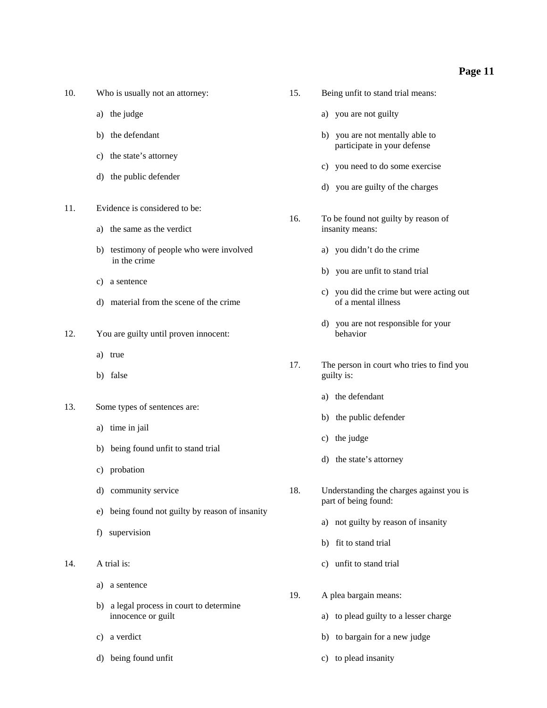| 10. |  |  | Who is usually not an attorney: |
|-----|--|--|---------------------------------|
|     |  |  |                                 |

- 
- 
- c) the state's attorney
- d) the public defender
- 11. Evidence is considered to be:
	-
	- b) testimony of people who were involved a) you didn't do the crime in the crime
	- c) a sentence
	- d) material from the scene of the crime of a mental illness
- 12. You are guilty until proven innocent: behavior
	- a) true
	-
- 13. Some types of sentences are:
	- a) time in jail
	- b) being found unfit to stand trial
	- c) probation
	-
	- e) being found not guilty by reason of insanity
	- f) supervision
- - a) a sentence
	- b) a legal process in court to determine innocence or guilt a) to plead guilty to a lesser charge
	-
	- d) being found unfit c) to plead insanity
- 15. Being unfit to stand trial means:
- a) the judge and  $\alpha$  a) you are not guilty
- b) the defendant b) you are not mentally able to participate in your defense
	- c) you need to do some exercise
	- d) you are guilty of the charges
- 16. To be found not guilty by reason of a) the same as the verdict insanity means:
	-
	- b) you are unfit to stand trial
	- c) you did the crime but were acting out
	- d) you are not responsible for your
- 17. The person in court who tries to find you b) false guilty is:
	- a) the defendant
	- b) the public defender
	- c) the judge
	- d) the state's attorney
- d) community service 18. Understanding the charges against you is part of being found:
	- a) not guilty by reason of insanity
	- b) fit to stand trial
- 14. A trial is: c) unfit to stand trial
	- 19. A plea bargain means:
		-
	- c) a verdict b) to bargain for a new judge
		-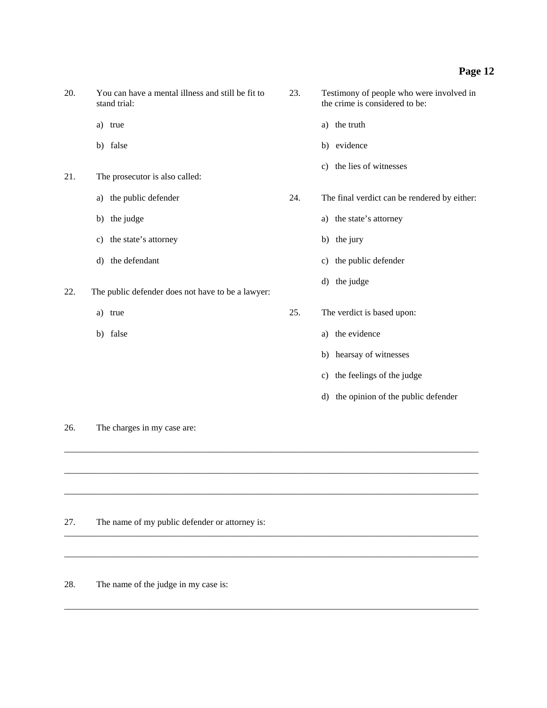- 20. You can have a mental illness and still be fit to 23. Testimony of people who were involved in stand trial: the crime is considered to be:
	-
	-
- 21. The prosecutor is also called:
	-
	-
	- c) the state's attorney b) the jury
	-
- 22. The public defender does not have to be a lawyer:
	-
	-
- 
- a) true a) the truth
- b) false b) evidence
	- c) the lies of witnesses

a) the public defender 24. The final verdict can be rendered by either:

- b) the judge a) the state's attorney
	-
- d) the defendant c) the public defender
	- d) the judge
- a) true 25. The verdict is based upon:
- b) false a) the evidence b

 $\_$  ,  $\_$  ,  $\_$  ,  $\_$  ,  $\_$  ,  $\_$  ,  $\_$  ,  $\_$  ,  $\_$  ,  $\_$  ,  $\_$  ,  $\_$  ,  $\_$  ,  $\_$  ,  $\_$  ,  $\_$  ,  $\_$  ,  $\_$  ,  $\_$  ,  $\_$  ,  $\_$  ,  $\_$  ,  $\_$  ,  $\_$  ,  $\_$  ,  $\_$  ,  $\_$  ,  $\_$  ,  $\_$  ,  $\_$  ,  $\_$  ,  $\_$  ,  $\_$  ,  $\_$  ,  $\_$  ,  $\_$  ,  $\_$  ,

\_\_\_\_\_\_\_\_\_\_\_\_\_\_\_\_\_\_\_\_\_\_\_\_\_\_\_\_\_\_\_\_\_\_\_\_\_\_\_\_\_\_\_\_\_\_\_\_\_\_\_\_\_\_\_\_\_\_\_\_\_\_\_\_\_\_\_\_\_\_\_\_\_\_\_\_\_\_\_\_\_\_\_\_\_\_\_\_\_\_\_\_

 $\_$  ,  $\_$  ,  $\_$  ,  $\_$  ,  $\_$  ,  $\_$  ,  $\_$  ,  $\_$  ,  $\_$  ,  $\_$  ,  $\_$  ,  $\_$  ,  $\_$  ,  $\_$  ,  $\_$  ,  $\_$  ,  $\_$  ,  $\_$  ,  $\_$  ,  $\_$  ,  $\_$  ,  $\_$  ,  $\_$  ,  $\_$  ,  $\_$  ,  $\_$  ,  $\_$  ,  $\_$  ,  $\_$  ,  $\_$  ,  $\_$  ,  $\_$  ,  $\_$  ,  $\_$  ,  $\_$  ,  $\_$  ,  $\_$  ,

 $\_$  ,  $\_$  ,  $\_$  ,  $\_$  ,  $\_$  ,  $\_$  ,  $\_$  ,  $\_$  ,  $\_$  ,  $\_$  ,  $\_$  ,  $\_$  ,  $\_$  ,  $\_$  ,  $\_$  ,  $\_$  ,  $\_$  ,  $\_$  ,  $\_$  ,  $\_$  ,  $\_$  ,  $\_$  ,  $\_$  ,  $\_$  ,  $\_$  ,  $\_$  ,  $\_$  ,  $\_$  ,  $\_$  ,  $\_$  ,  $\_$  ,  $\_$  ,  $\_$  ,  $\_$  ,  $\_$  ,  $\_$  ,  $\_$  ,

 $\_$  ,  $\_$  ,  $\_$  ,  $\_$  ,  $\_$  ,  $\_$  ,  $\_$  ,  $\_$  ,  $\_$  ,  $\_$  ,  $\_$  ,  $\_$  ,  $\_$  ,  $\_$  ,  $\_$  ,  $\_$  ,  $\_$  ,  $\_$  ,  $\_$  ,  $\_$  ,  $\_$  ,  $\_$  ,  $\_$  ,  $\_$  ,  $\_$  ,  $\_$  ,  $\_$  ,  $\_$  ,  $\_$  ,  $\_$  ,  $\_$  ,  $\_$  ,  $\_$  ,  $\_$  ,  $\_$  ,  $\_$  ,  $\_$  ,

 $\_$  ,  $\_$  ,  $\_$  ,  $\_$  ,  $\_$  ,  $\_$  ,  $\_$  ,  $\_$  ,  $\_$  ,  $\_$  ,  $\_$  ,  $\_$  ,  $\_$  ,  $\_$  ,  $\_$  ,  $\_$  ,  $\_$  ,  $\_$  ,  $\_$  ,  $\_$  ,  $\_$  ,  $\_$  ,  $\_$  ,  $\_$  ,  $\_$  ,  $\_$  ,  $\_$  ,  $\_$  ,  $\_$  ,  $\_$  ,  $\_$  ,  $\_$  ,  $\_$  ,  $\_$  ,  $\_$  ,  $\_$  ,  $\_$  ,

- b) hearsay of witnesses
- c) the feelings of the judge
- d) the opinion of the public defender

26. The charges in my case are:

- 27. The name of my public defender or attorney is:
- 28. The name of the judge in my case is: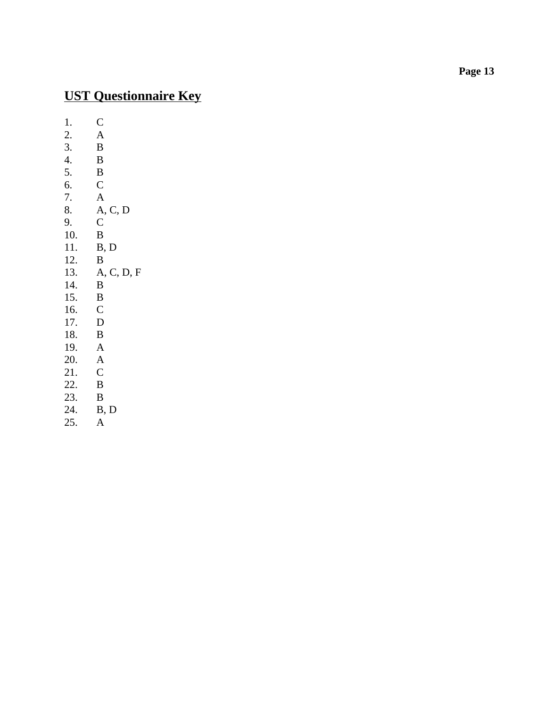## **UST Questionnaire Key**

1.  $\begin{array}{cc} \n\text{C} \\
\text{2.} & \text{A} \n\end{array}$ 2. A<br>3. B 3. B<br>4. B 4. B<br>5. B 5. B<br>6. C  $6.$ 7. A<br>8. A, A, C, D<br>C 9. C<br>10. B  $\frac{10}{11}$ .  $\frac{B}{B}$ , D  $\frac{12.}{13.}$ A, C, D, F 14. B<br>15. B 15.  $\, B$ <br>16.  $\, C$ 16. C<br>17. D 17. D<br>18. B 18. B<br>19. A 19. 20. A<br>21. C 21. C<br>22. B 22. B<br>23. B  $23.$ <br>24.  $B, D$ 25. A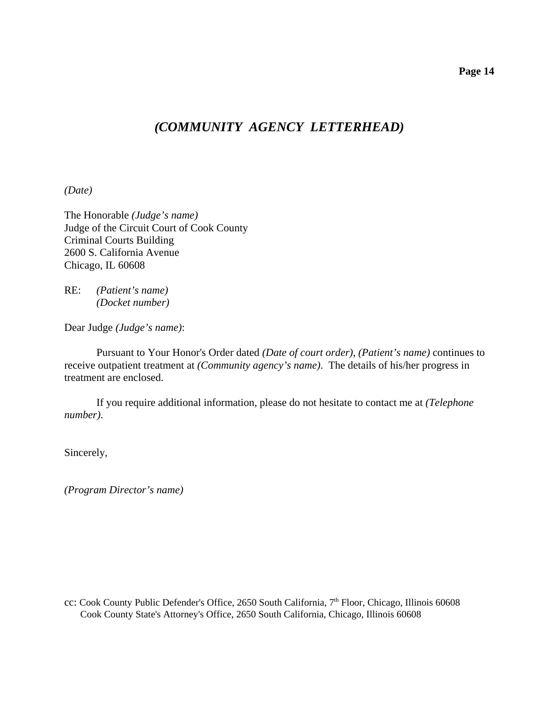### *(COMMUNITY AGENCY LETTERHEAD)*

*(Date)*

The Honorable *(Judge's name)* Judge of the Circuit Court of Cook County Criminal Courts Building 2600 S. California Avenue Chicago, IL 60608

RE: *(Patient's name) (Docket number)*

Dear Judge *(Judge's name)*:

Pursuant to Your Honor's Order dated *(Date of court order)*, *(Patient's name)* continues to receive outpatient treatment at *(Community agency's name)*. The details of his/her progress in treatment are enclosed.

If you require additional information, please do not hesitate to contact me at *(Telephone number)*.

Sincerely,

*(Program Director's name)*

cc: Cook County Public Defender's Office, 2650 South California, 7<sup>th</sup> Floor, Chicago, Illinois 60608 Cook County State's Attorney's Office, 2650 South California, Chicago, Illinois 60608